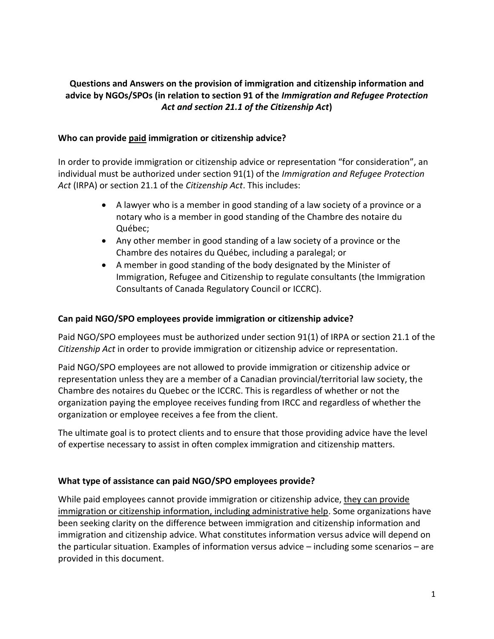# **Questions and Answers on the provision of immigration and citizenship information and advice by NGOs/SPOs (in relation to section 91 of the** *Immigration and Refugee Protection Act and section 21.1 of the Citizenship Act***)**

## **Who can provide paid immigration or citizenship advice?**

In order to provide immigration or citizenship advice or representation "for consideration", an individual must be authorized under section 91(1) of the *Immigration and Refugee Protection Act* (IRPA) or section 21.1 of the *Citizenship Act*. This includes:

- A lawyer who is a member in good standing of a law society of a province or a notary who is a member in good standing of the Chambre des notaire du Québec;
- Any other member in good standing of a law society of a province or the Chambre des notaires du Québec, including a paralegal; or
- A member in good standing of the body designated by the Minister of Immigration, Refugee and Citizenship to regulate consultants (the Immigration Consultants of Canada Regulatory Council or ICCRC).

## **Can paid NGO/SPO employees provide immigration or citizenship advice?**

Paid NGO/SPO employees must be authorized under section 91(1) of IRPA or section 21.1 of the *Citizenship Act* in order to provide immigration or citizenship advice or representation.

Paid NGO/SPO employees are not allowed to provide immigration or citizenship advice or representation unless they are a member of a Canadian provincial/territorial law society, the Chambre des notaires du Quebec or the ICCRC. This is regardless of whether or not the organization paying the employee receives funding from IRCC and regardless of whether the organization or employee receives a fee from the client.

The ultimate goal is to protect clients and to ensure that those providing advice have the level of expertise necessary to assist in often complex immigration and citizenship matters.

## **What type of assistance can paid NGO/SPO employees provide?**

While paid employees cannot provide immigration or citizenship advice, they can provide immigration or citizenship information, including administrative help. Some organizations have been seeking clarity on the difference between immigration and citizenship information and immigration and citizenship advice. What constitutes information versus advice will depend on the particular situation. Examples of information versus advice – including some scenarios – are provided in this document.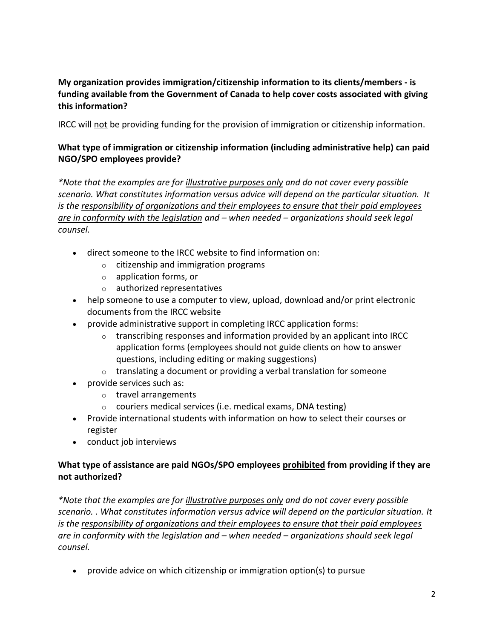**My organization provides immigration/citizenship information to its clients/members - is funding available from the Government of Canada to help cover costs associated with giving this information?** 

IRCC will not be providing funding for the provision of immigration or citizenship information.

# **What type of immigration or citizenship information (including administrative help) can paid NGO/SPO employees provide?**

*\*Note that the examples are for illustrative purposes only and do not cover every possible scenario. What constitutes information versus advice will depend on the particular situation. It is the responsibility of organizations and their employees to ensure that their paid employees are in conformity with the legislation and – when needed – organizations should seek legal counsel.*

- direct someone to the IRCC website to find information on:
	- $\circ$  citizenship and immigration programs
	- o application forms, or
	- o authorized representatives
- help someone to use a computer to view, upload, download and/or print electronic documents from the IRCC website
- provide administrative support in completing IRCC application forms:
	- $\circ$  transcribing responses and information provided by an applicant into IRCC application forms (employees should not guide clients on how to answer questions, including editing or making suggestions)
	- $\circ$  translating a document or providing a verbal translation for someone
- provide services such as:
	- o travel arrangements
	- $\circ$  couriers medical services (i.e. medical exams, DNA testing)
- Provide international students with information on how to select their courses or register
- conduct job interviews

# **What type of assistance are paid NGOs/SPO employees prohibited from providing if they are not authorized?**

*\*Note that the examples are for illustrative purposes only and do not cover every possible scenario. . What constitutes information versus advice will depend on the particular situation. It is the responsibility of organizations and their employees to ensure that their paid employees are in conformity with the legislation and – when needed – organizations should seek legal counsel.*

provide advice on which citizenship or immigration option(s) to pursue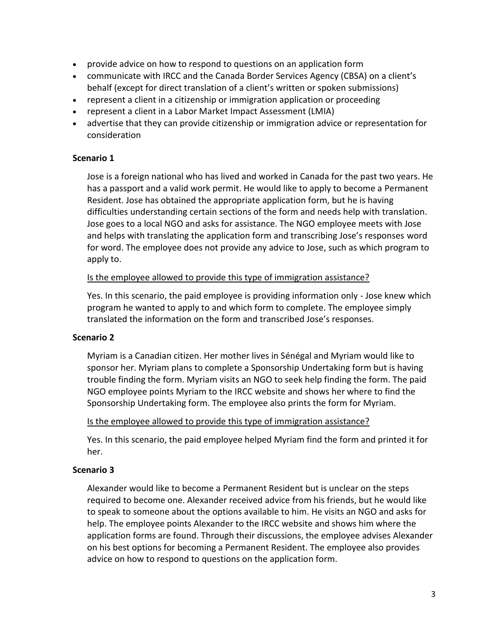- provide advice on how to respond to questions on an application form
- communicate with IRCC and the Canada Border Services Agency (CBSA) on a client's behalf (except for direct translation of a client's written or spoken submissions)
- represent a client in a citizenship or immigration application or proceeding
- represent a client in a Labor Market Impact Assessment (LMIA)
- advertise that they can provide citizenship or immigration advice or representation for consideration

## **Scenario 1**

Jose is a foreign national who has lived and worked in Canada for the past two years. He has a passport and a valid work permit. He would like to apply to become a Permanent Resident. Jose has obtained the appropriate application form, but he is having difficulties understanding certain sections of the form and needs help with translation. Jose goes to a local NGO and asks for assistance. The NGO employee meets with Jose and helps with translating the application form and transcribing Jose's responses word for word. The employee does not provide any advice to Jose, such as which program to apply to.

## Is the employee allowed to provide this type of immigration assistance?

Yes. In this scenario, the paid employee is providing information only - Jose knew which program he wanted to apply to and which form to complete. The employee simply translated the information on the form and transcribed Jose's responses.

## **Scenario 2**

Myriam is a Canadian citizen. Her mother lives in Sénégal and Myriam would like to sponsor her. Myriam plans to complete a Sponsorship Undertaking form but is having trouble finding the form. Myriam visits an NGO to seek help finding the form. The paid NGO employee points Myriam to the IRCC website and shows her where to find the Sponsorship Undertaking form. The employee also prints the form for Myriam.

## Is the employee allowed to provide this type of immigration assistance?

Yes. In this scenario, the paid employee helped Myriam find the form and printed it for her.

## **Scenario 3**

Alexander would like to become a Permanent Resident but is unclear on the steps required to become one. Alexander received advice from his friends, but he would like to speak to someone about the options available to him. He visits an NGO and asks for help. The employee points Alexander to the IRCC website and shows him where the application forms are found. Through their discussions, the employee advises Alexander on his best options for becoming a Permanent Resident. The employee also provides advice on how to respond to questions on the application form.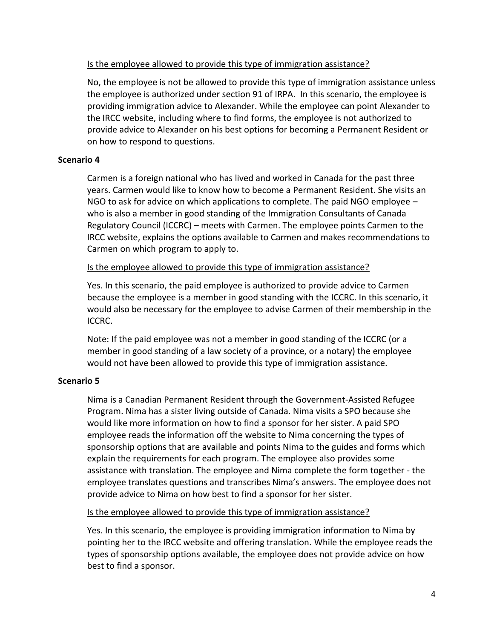## Is the employee allowed to provide this type of immigration assistance?

No, the employee is not be allowed to provide this type of immigration assistance unless the employee is authorized under section 91 of IRPA. In this scenario, the employee is providing immigration advice to Alexander. While the employee can point Alexander to the IRCC website, including where to find forms, the employee is not authorized to provide advice to Alexander on his best options for becoming a Permanent Resident or on how to respond to questions.

## **Scenario 4**

Carmen is a foreign national who has lived and worked in Canada for the past three years. Carmen would like to know how to become a Permanent Resident. She visits an NGO to ask for advice on which applications to complete. The paid NGO employee – who is also a member in good standing of the Immigration Consultants of Canada Regulatory Council (ICCRC) – meets with Carmen. The employee points Carmen to the IRCC website, explains the options available to Carmen and makes recommendations to Carmen on which program to apply to.

## Is the employee allowed to provide this type of immigration assistance?

Yes. In this scenario, the paid employee is authorized to provide advice to Carmen because the employee is a member in good standing with the ICCRC. In this scenario, it would also be necessary for the employee to advise Carmen of their membership in the ICCRC.

Note: If the paid employee was not a member in good standing of the ICCRC (or a member in good standing of a law society of a province, or a notary) the employee would not have been allowed to provide this type of immigration assistance.

# **Scenario 5**

Nima is a Canadian Permanent Resident through the Government-Assisted Refugee Program. Nima has a sister living outside of Canada. Nima visits a SPO because she would like more information on how to find a sponsor for her sister. A paid SPO employee reads the information off the website to Nima concerning the types of sponsorship options that are available and points Nima to the guides and forms which explain the requirements for each program. The employee also provides some assistance with translation. The employee and Nima complete the form together - the employee translates questions and transcribes Nima's answers. The employee does not provide advice to Nima on how best to find a sponsor for her sister.

## Is the employee allowed to provide this type of immigration assistance?

Yes. In this scenario, the employee is providing immigration information to Nima by pointing her to the IRCC website and offering translation. While the employee reads the types of sponsorship options available, the employee does not provide advice on how best to find a sponsor.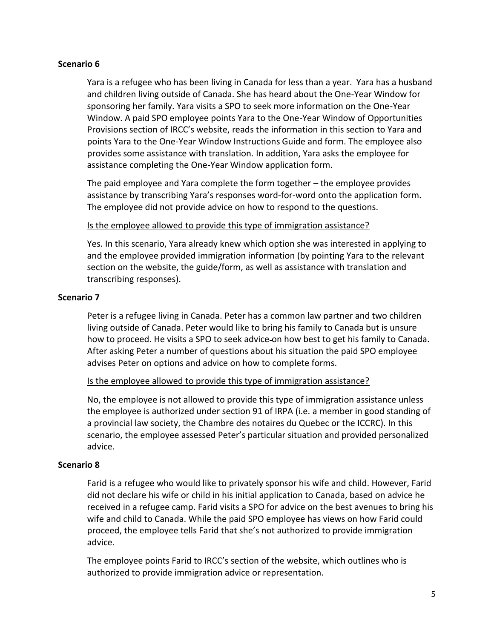### **Scenario 6**

Yara is a refugee who has been living in Canada for less than a year. Yara has a husband and children living outside of Canada. She has heard about the One-Year Window for sponsoring her family. Yara visits a SPO to seek more information on the One-Year Window. A paid SPO employee points Yara to the One-Year Window of Opportunities Provisions section of IRCC's website, reads the information in this section to Yara and points Yara to the One-Year Window Instructions Guide and form. The employee also provides some assistance with translation. In addition, Yara asks the employee for assistance completing the One-Year Window application form.

The paid employee and Yara complete the form together – the employee provides assistance by transcribing Yara's responses word-for-word onto the application form. The employee did not provide advice on how to respond to the questions.

#### Is the employee allowed to provide this type of immigration assistance?

Yes. In this scenario, Yara already knew which option she was interested in applying to and the employee provided immigration information (by pointing Yara to the relevant section on the website, the guide/form, as well as assistance with translation and transcribing responses).

#### **Scenario 7**

Peter is a refugee living in Canada. Peter has a common law partner and two children living outside of Canada. Peter would like to bring his family to Canada but is unsure how to proceed. He visits a SPO to seek advice on how best to get his family to Canada. After asking Peter a number of questions about his situation the paid SPO employee advises Peter on options and advice on how to complete forms.

#### Is the employee allowed to provide this type of immigration assistance?

No, the employee is not allowed to provide this type of immigration assistance unless the employee is authorized under section 91 of IRPA (i.e. a member in good standing of a provincial law society, the Chambre des notaires du Quebec or the ICCRC). In this scenario, the employee assessed Peter's particular situation and provided personalized advice.

## **Scenario 8**

Farid is a refugee who would like to privately sponsor his wife and child. However, Farid did not declare his wife or child in his initial application to Canada, based on advice he received in a refugee camp. Farid visits a SPO for advice on the best avenues to bring his wife and child to Canada. While the paid SPO employee has views on how Farid could proceed, the employee tells Farid that she's not authorized to provide immigration advice.

The employee points Farid to IRCC's section of the website, which outlines who is authorized to provide immigration advice or representation.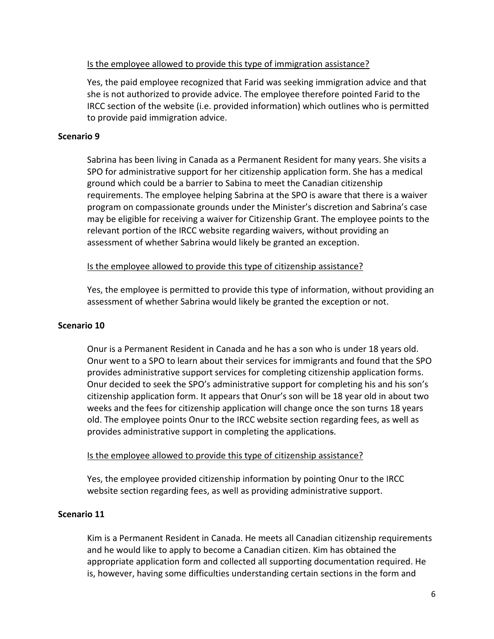## Is the employee allowed to provide this type of immigration assistance?

Yes, the paid employee recognized that Farid was seeking immigration advice and that she is not authorized to provide advice. The employee therefore pointed Farid to the IRCC section of the website (i.e. provided information) which outlines who is permitted to provide paid immigration advice.

## **Scenario 9**

Sabrina has been living in Canada as a Permanent Resident for many years. She visits a SPO for administrative support for her citizenship application form. She has a medical ground which could be a barrier to Sabina to meet the Canadian citizenship requirements. The employee helping Sabrina at the SPO is aware that there is a waiver program on compassionate grounds under the Minister's discretion and Sabrina's case may be eligible for receiving a waiver for Citizenship Grant. The employee points to the relevant portion of the IRCC website regarding waivers, without providing an assessment of whether Sabrina would likely be granted an exception.

## Is the employee allowed to provide this type of citizenship assistance?

Yes, the employee is permitted to provide this type of information, without providing an assessment of whether Sabrina would likely be granted the exception or not.

## **Scenario 10**

Onur is a Permanent Resident in Canada and he has a son who is under 18 years old. Onur went to a SPO to learn about their services for immigrants and found that the SPO provides administrative support services for completing citizenship application forms. Onur decided to seek the SPO's administrative support for completing his and his son's citizenship application form. It appears that Onur's son will be 18 year old in about two weeks and the fees for citizenship application will change once the son turns 18 years old. The employee points Onur to the IRCC website section regarding fees, as well as provides administrative support in completing the applications.

## Is the employee allowed to provide this type of citizenship assistance?

Yes, the employee provided citizenship information by pointing Onur to the IRCC website section regarding fees, as well as providing administrative support.

## **Scenario 11**

Kim is a Permanent Resident in Canada. He meets all Canadian citizenship requirements and he would like to apply to become a Canadian citizen. Kim has obtained the appropriate application form and collected all supporting documentation required. He is, however, having some difficulties understanding certain sections in the form and